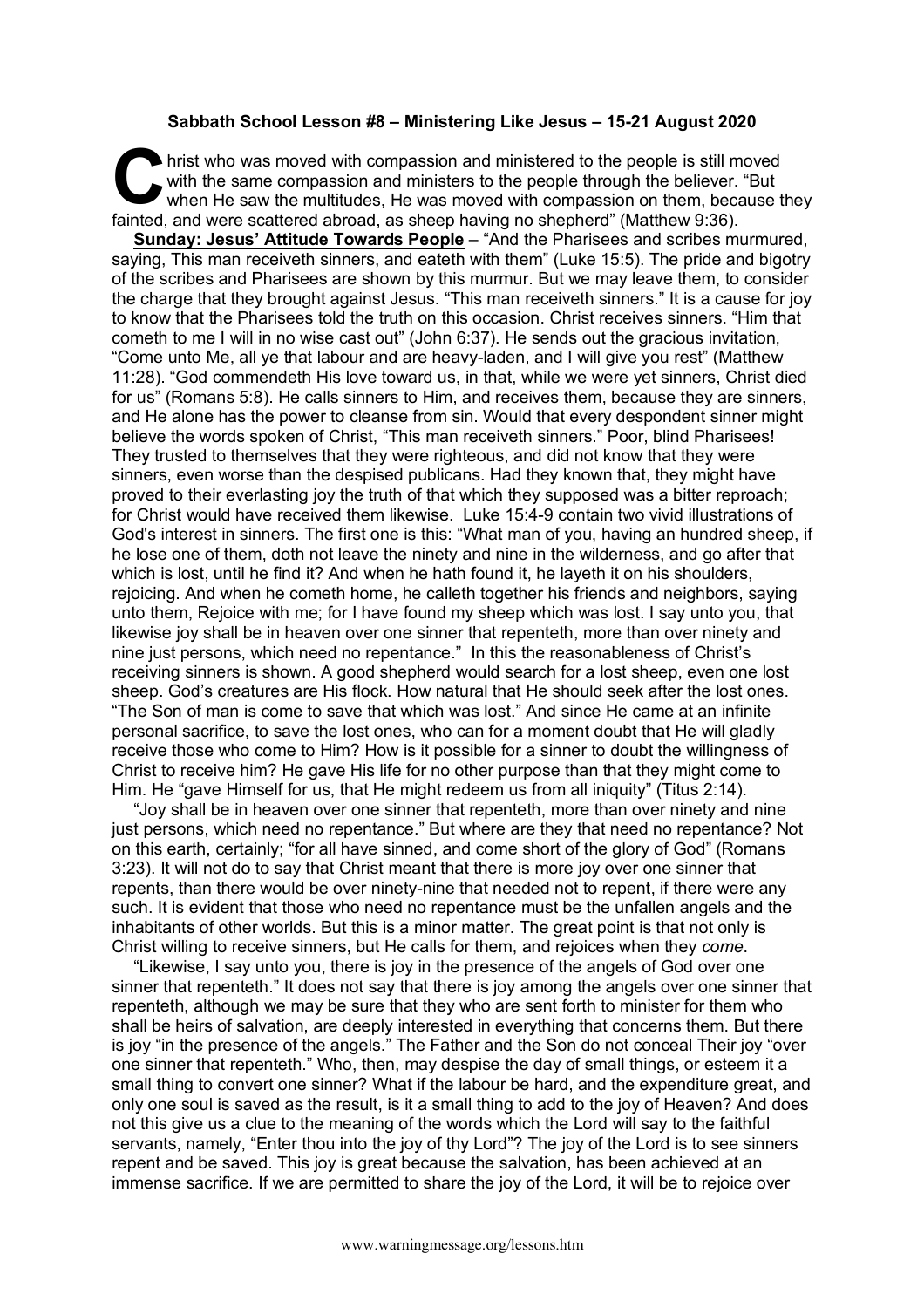## **Sabbath School Lesson #8 – Ministering Like Jesus – 15-21 August 2020**

hrist who was moved with compassion and ministered to the people is still moved with the same compassion and ministers to the people through the believer. "But when He saw the multitudes, He was moved with compassion on them, because they fainted, and were scattered abroad, as sheep having no shepherd" (Matthew 9:36). **C** hris

**Sunday: Jesus' Attitude Towards People** – "And the Pharisees and scribes murmured, saying, This man receiveth sinners, and eateth with them" (Luke 15:5). The pride and bigotry of the scribes and Pharisees are shown by this murmur. But we may leave them, to consider the charge that they brought against Jesus. "This man receiveth sinners." It is a cause for joy to know that the Pharisees told the truth on this occasion. Christ receives sinners. "Him that cometh to me I will in no wise cast out" (John 6:37). He sends out the gracious invitation, "Come unto Me, all ye that labour and are heavy-laden, and I will give you rest" (Matthew 11:28). "God commendeth His love toward us, in that, while we were yet sinners, Christ died for us" (Romans 5:8). He calls sinners to Him, and receives them, because they are sinners, and He alone has the power to cleanse from sin. Would that every despondent sinner might believe the words spoken of Christ, "This man receiveth sinners." Poor, blind Pharisees! They trusted to themselves that they were righteous, and did not know that they were sinners, even worse than the despised publicans. Had they known that, they might have proved to their everlasting joy the truth of that which they supposed was a bitter reproach; for Christ would have received them likewise. Luke 15:4-9 contain two vivid illustrations of God's interest in sinners. The first one is this: "What man of you, having an hundred sheep, if he lose one of them, doth not leave the ninety and nine in the wilderness, and go after that which is lost, until he find it? And when he hath found it, he layeth it on his shoulders, rejoicing. And when he cometh home, he calleth together his friends and neighbors, saying unto them, Rejoice with me; for I have found my sheep which was lost. I say unto you, that likewise joy shall be in heaven over one sinner that repenteth, more than over ninety and nine just persons, which need no repentance." In this the reasonableness of Christ's receiving sinners is shown. A good shepherd would search for a lost sheep, even one lost sheep. God's creatures are His flock. How natural that He should seek after the lost ones. "The Son of man is come to save that which was lost." And since He came at an infinite personal sacrifice, to save the lost ones, who can for a moment doubt that He will gladly receive those who come to Him? How is it possible for a sinner to doubt the willingness of Christ to receive him? He gave His life for no other purpose than that they might come to Him. He "gave Himself for us, that He might redeem us from all iniquity" (Titus 2:14).

"Joy shall be in heaven over one sinner that repenteth, more than over ninety and nine just persons, which need no repentance." But where are they that need no repentance? Not on this earth, certainly; "for all have sinned, and come short of the glory of God" (Romans 3:23). It will not do to say that Christ meant that there is more joy over one sinner that repents, than there would be over ninety-nine that needed not to repent, if there were any such. It is evident that those who need no repentance must be the unfallen angels and the inhabitants of other worlds. But this is a minor matter. The great point is that not only is Christ willing to receive sinners, but He calls for them, and rejoices when they *come*.

"Likewise, I say unto you, there is joy in the presence of the angels of God over one sinner that repenteth." It does not say that there is joy among the angels over one sinner that repenteth, although we may be sure that they who are sent forth to minister for them who shall be heirs of salvation, are deeply interested in everything that concerns them. But there is joy "in the presence of the angels." The Father and the Son do not conceal Their joy "over one sinner that repenteth." Who, then, may despise the day of small things, or esteem it a small thing to convert one sinner? What if the labour be hard, and the expenditure great, and only one soul is saved as the result, is it a small thing to add to the joy of Heaven? And does not this give us a clue to the meaning of the words which the Lord will say to the faithful servants, namely, "Enter thou into the joy of thy Lord"? The joy of the Lord is to see sinners repent and be saved. This joy is great because the salvation, has been achieved at an immense sacrifice. If we are permitted to share the joy of the Lord, it will be to rejoice over